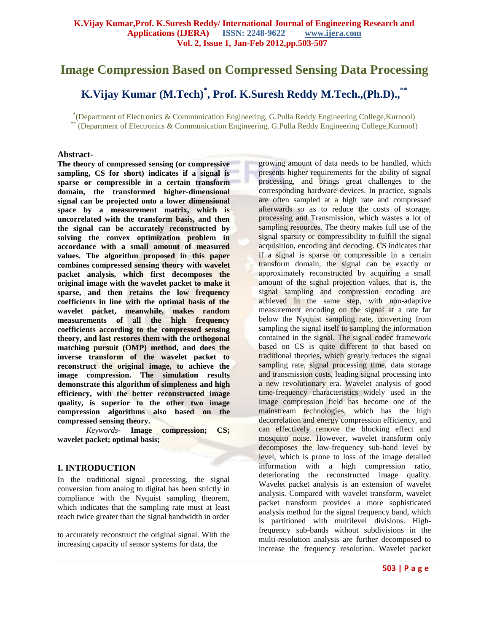# **Image Compression Based on Compressed Sensing Data Processing**

# **K.Vijay Kumar (M.Tech)\* , Prof. K.Suresh Reddy M.Tech.,(Ph.D).,\*\***

\* (Department of Electronics & Communication Engineering, G.Pulla Reddy Engineering College,Kurnool) \*\* (Department of Electronics & Communication Engineering, G.Pulla Reddy Engineering College,Kurnool)

## **Abstract***-*

**The theory of compressed sensing (or compressive sampling, CS for short) indicates if a signal is sparse or compressible in a certain transform domain, the transformed higher-dimensional signal can be projected onto a lower dimensional space by a measurement matrix, which is uncorrelated with the transform basis, and then the signal can be accurately reconstructed by solving the convex optimization problem in accordance with a small amount of measured values. The algorithm proposed in this paper combines compressed sensing theory with wavelet packet analysis, which first decomposes the original image with the wavelet packet to make it sparse, and then retains the low frequency coefficients in line with the optimal basis of the wavelet packet, meanwhile, makes random measurements of all the high frequency coefficients according to the compressed sensing theory, and last restores them with the orthogonal matching pursuit (OMP) method, and does the inverse transform of the wavelet packet to reconstruct the original image, to achieve the image compression. The simulation results demonstrate this algorithm of simpleness and high efficiency, with the better reconstructed image quality, is superior to the other two image compression algorithms also based on the compressed sensing theory.**

*Keywords-* **Image compression; CS; wavelet packet; optimal basis;**

## **I. INTRODUCTION**

In the traditional signal processing, the signal conversion from analog to digital has been strictly in compliance with the Nyquist sampling theorem, which indicates that the sampling rate must at least reach twice greater than the signal bandwidth in order

to accurately reconstruct the original signal. With the increasing capacity of sensor systems for data, the

growing amount of data needs to be handled, which presents higher requirements for the ability of signal processing, and brings great challenges to the corresponding hardware devices. In practice, signals are often sampled at a high rate and compressed afterwards so as to reduce the costs of storage, processing and Transmission, which wastes a lot of sampling resources. The theory makes full use of the signal sparsity or compressibility to fulfill the signal acquisition, encoding and decoding. CS indicates that if a signal is sparse or compressible in a certain transform domain, the signal can be exactly or approximately reconstructed by acquiring a small amount of the signal projection values, that is, the signal sampling and compression encoding are achieved in the same step, with non-adaptive measurement encoding on the signal at a rate far below the Nyquist sampling rate, converting from sampling the signal itself to sampling the information contained in the signal. The signal codec framework based on CS is quite different to that based on traditional theories, which greatly reduces the signal sampling rate, signal processing time, data storage and transmission costs, leading signal processing into a new revolutionary era. Wavelet analysis of good time-frequency characteristics widely used in the image compression field has become one of the mainstream technologies, which has the high decorrelation and energy compression efficiency, and can effectively remove the blocking effect and mosquito noise. However, wavelet transform only decomposes the low-frequency sub-band level by level, which is prone to loss of the image detailed information with a high compression ratio, deteriorating the reconstructed image quality. Wavelet packet analysis is an extension of wavelet analysis. Compared with wavelet transform, wavelet packet transform provides a more sophisticated analysis method for the signal frequency band, which is partitioned with multilevel divisions. Highfrequency sub-bands without subdivisions in the multi-resolution analysis are further decomposed to increase the frequency resolution. Wavelet packet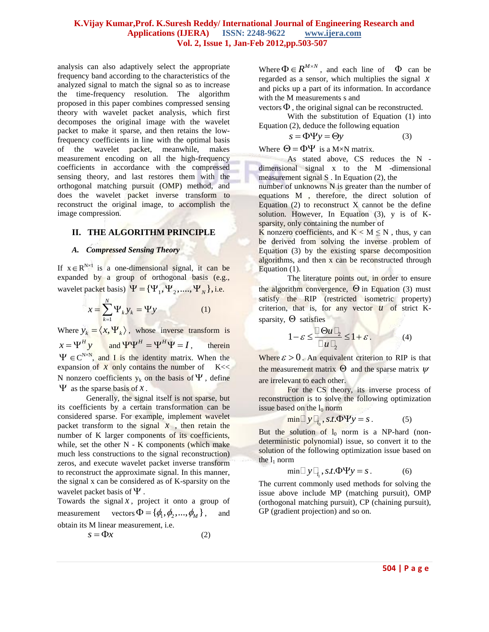## **K.Vijay Kumar,Prof. K.Suresh Reddy/ International Journal of Engineering Research and Applications (IJERA) ISSN: 2248-9622 www.ijera.com Vol. 2, Issue 1, Jan-Feb 2012,pp.503-507**

analysis can also adaptively select the appropriate frequency band according to the characteristics of the analyzed signal to match the signal so as to increase the time-frequency resolution. The algorithm proposed in this paper combines compressed sensing theory with wavelet packet analysis, which first decomposes the original image with the wavelet packet to make it sparse, and then retains the lowfrequency coefficients in line with the optimal basis of the wavelet packet, meanwhile, makes measurement encoding on all the high-frequency coefficients in accordance with the compressed sensing theory, and last restores them with the orthogonal matching pursuit (OMP) method, and does the wavelet packet inverse transform to reconstruct the original image, to accomplish the image compression.

## **II. THE ALGORITHM PRINCIPLE**

#### *A. Compressed Sensing Theory*

If  $x \in R^{N \times 1}$  is a one-dimensional signal, it can be expanded by a group of orthogonal basis (e.g., wavelet packet basis)  $\Psi = {\Psi_1, \Psi_2, ..., \Psi_N}$ , *i.e.* 

$$
x = \sum_{k=1}^{N} \Psi_k y_k = \Psi y \tag{1}
$$

Where  $y_k = \langle x, \Psi_k \rangle$ , whose inverse transform is  $x = \Psi^H y$  and  $\Psi \Psi^H = \Psi^H \Psi = I$ , therein  $\Psi \in C^{N \times N}$ , and I is the identity matrix. When the expansion of  $\bar{x}$  only contains the number of  $K \ll$ N nonzero coefficients  $y_k$  on the basis of  $\Psi$ , define  $\Psi$  as the sparse basis of x.

Generally, the signal itself is not sparse, but its coefficients by a certain transformation can be considered sparse. For example, implement wavelet packet transform to the signal  $\bar{x}$ , then retain the number of K larger components of its coefficients, while, set the other  $N - K$  components (which make much less constructions to the signal reconstruction) zeros, and execute wavelet packet inverse transform to reconstruct the approximate signal. In this manner, the signal x can be considered as of K-sparsity on the wavelet packet basis of  $\Psi$ .

Towards the signal  $x$ , project it onto a group of measurement vectors  $\Phi = {\phi_1, \phi_2, ..., \phi_M}$ , and obtain its M line

in its M linear measurement, i.e.  

$$
s = \Phi x
$$
 (2)

Where  $\Phi \in \mathbb{R}^{M \times N}$ , and each line of  $\Phi$  can be regarded as a sensor, which multiplies the signal *x* and picks up a part of its information. In accordance with the M measurements s and

vectors  $\Phi$ , the original signal can be reconstructed.

With the substitution of Equation (1) into Equation (2), deduce the following equation

$$
s = \Phi \Psi y = \Theta y \tag{3}
$$

Where  $\Theta = \Phi \Psi$  is a M×N matrix.

As stated above, CS reduces the N dimensional signal x to the M -dimensional measurement signal S . In Equation (2), the

number of unknowns N is greater than the number of equations M , therefore, the direct solution of Equation  $(2)$  to reconstruct X cannot be the define solution. However, In Equation (3), y is of Ksparsity, only containing the number of

K nonzero coefficients, and  $K < M \le N$ , thus, y can be derived from solving the inverse problem of Equation (3) by the existing sparse decomposition algorithms, and then x can be reconstructed through Equation (1).

The literature points out, in order to ensure the algorithm convergence,  $\Theta$  in Equation (3) must satisfy the RIP (restricted isometric property) criterion, that is, for any vector  $u$  of strict Ksparsity,  $\Theta$  satisfies

$$
1 - \varepsilon \le \frac{\Box \Theta u \Box_2}{\Box u \Box_2} \le 1 + \varepsilon. \tag{4}
$$

Where  $\varepsilon > 0$ . An equivalent criterion to RIP is that the measurement matrix  $\Theta$  and the sparse matrix  $\psi$ are irrelevant to each other.

For the CS theory, its inverse process of reconstruction is to solve the following optimization issue based on the  $l_0$  norm

$$
\min \Box \ y \Box_{0}, s.t. \Phi \Psi y = s. \tag{5}
$$

But the solution of  $l_0$  norm is a NP-hard (nondeterministic polynomial) issue, so convert it to the solution of the following optimization issue based on the  $l_1$  norm

$$
\min \Box \, y \, \Box_{1}, s.t. \Phi \Psi y = s \,. \tag{6}
$$

The current commonly used methods for solving the issue above include MP (matching pursuit), OMP (orthogonal matching pursuit), CP (chaining pursuit), GP (gradient projection) and so on.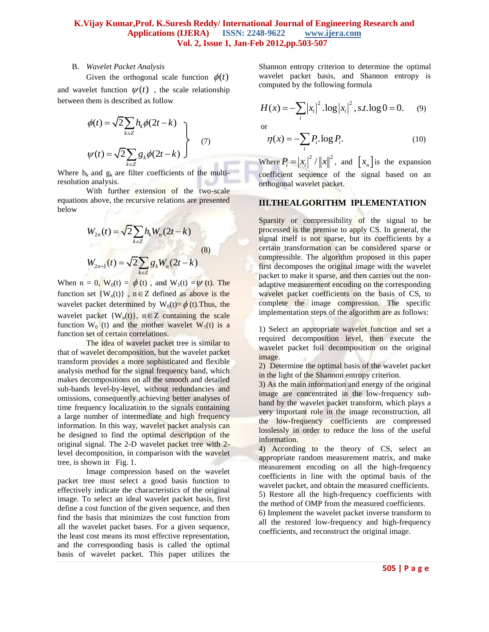## **K.Vijay Kumar,Prof. K.Suresh Reddy/ International Journal of Engineering Research and Applications (IJERA) ISSN: 2248-9622 www.ijera.com Vol. 2, Issue 1, Jan-Feb 2012,pp.503-507**

#### B. *Wavelet Packet Analysis*

Given the orthogonal scale function  $\phi(t)$ 

and wavelet function  $\psi(t)$ , the scale relationship between them is described as follow

$$
\phi(t) = \sqrt{2} \sum_{k \in \mathbb{Z}} h_k \phi(2t - k)
$$
\n
$$
\psi(t) = \sqrt{2} \sum_{k \in \mathbb{Z}} g_k \phi(2t - k)
$$
\n(7)

Where  $h_k$  and  $g_k$  are filter coefficients of the multiresolution analysis.

With further extension of the two-scale equations above, the recursive relations are presented below

$$
W_{2n}(t) = \sqrt{2} \sum_{k \in \mathbb{Z}} h_k W_n(2t - k)
$$
  

$$
W_{2n+1}(t) = \sqrt{2} \sum_{k \in \mathbb{Z}} g_k W_n(2t - k)
$$
 (8)

When  $n = 0$ ,  $W_0(t) = \phi(t)$ , and  $W_1(t) = \psi(t)$ . The function set  $\{W_n(t)\}\,$ ,  $n \in \mathbb{Z}$  defined as above is the wavelet packet determined by  $W_0(t) = \phi(t)$ . Thus, the wavelet packet  $\{W_n(t)\}, n \in \mathbb{Z}$  containing the scale function  $W_0$  (t) and the mother wavelet  $W_1(t)$  is a function set of certain correlations.

The idea of wavelet packet tree is similar to that of wavelet decomposition, but the wavelet packet transform provides a more sophisticated and flexible analysis method for the signal frequency band, which makes decompositions on all the smooth and detailed sub-bands level-by-level, without redundancies and omissions, consequently achieving better analyses of time frequency localization to the signals containing a large number of intermediate and high frequency information. In this way, wavelet packet analysis can be designed to find the optimal description of the original signal. The 2-D wavelet packet tree with 2 level decomposition, in comparison with the wavelet tree, is shown in Fig. 1.

Image compression based on the wavelet packet tree must select a good basis function to effectively indicate the characteristics of the original image. To select an ideal wavelet packet basis, first define a cost function of the given sequence, and then find the basis that minimizes the cost function from all the wavelet packet bases. For a given sequence, the least cost means its most effective representation, and the corresponding basis is called the optimal basis of wavelet packet. This paper utilizes the Shannon entropy criterion to determine the optimal wavelet packet basis, and Shannon entropy is computed by the following formula

$$
H(x) = -\sum_{i} |x_i|^2 \cdot \log |x_i|^2, s.t. \log 0 = 0.
$$
 (9)

$$
\eta(x) = -\sum_{i} P_{i} \log P_{i}.\tag{10}
$$

Where  $P_i = |x_i|^2 / ||x||^2$ , and  $[x_n]$  is the expansion coefficient sequence of the signal based on an orthogonal wavelet packet.

#### **III.THEALGORITHM IPLEMENTATION**

Sparsity or compressibility of the signal to be processed is the premise to apply CS. In general, the signal itself is not sparse, but its coefficients by a certain transformation can be considered sparse or compressible. The algorithm proposed in this paper first decomposes the original image with the wavelet packet to make it sparse, and then carries out the nonadaptive measurement encoding on the corresponding wavelet packet coefficients on the basis of CS, to complete the image compression. The specific implementation steps of the algorithm are as follows:

1) Select an appropriate wavelet function and set a required decomposition level, then execute the wavelet packet foil decomposition on the original image.

2) Determine the optimal basis of the wavelet packet in the light of the Shannon entropy criterion.

3) As the main information and energy of the original image are concentrated in the low-frequency subband by the wavelet packet transform, which plays a very important role in the image reconstruction, all the low-frequency coefficients are compressed losslessly in order to reduce the loss of the useful information.

4) According to the theory of CS, select an appropriate random measurement matrix, and make measurement encoding on all the high-frequency coefficients in line with the optimal basis of the wavelet packet, and obtain the measured coefficients. 5) Restore all the high-frequency coefficients with the method of OMP from the measured coefficients.

6) Implement the wavelet packet inverse transform to all the restored low-frequency and high-frequency coefficients, and reconstruct the original image.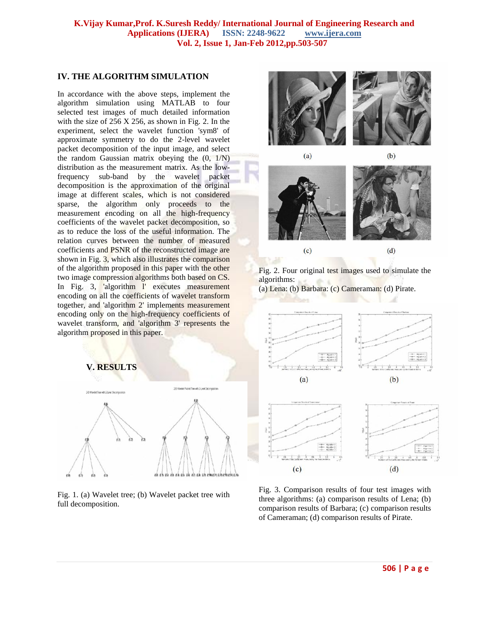## **IV. THE ALGORITHM SIMULATION**

In accordance with the above steps, implement the algorithm simulation using MATLAB to four selected test images of much detailed information with the size of 256 X 256, as shown in Fig. 2. In the experiment, select the wavelet function 'sym8' of approximate symmetry to do the 2-level wavelet packet decomposition of the input image, and select the random Gaussian matrix obeying the  $(0, 1/N)$ distribution as the measurement matrix. As the lowfrequency sub-band by the wavelet packet decomposition is the approximation of the original image at different scales, which is not considered sparse, the algorithm only proceeds to the measurement encoding on all the high-frequency coefficients of the wavelet packet decomposition, so as to reduce the loss of the useful information. The relation curves between the number of measured coefficients and PSNR of the reconstructed image are shown in Fig. 3, which also illustrates the comparison of the algorithm proposed in this paper with the other two image compression algorithms both based on CS. In Fig. 3, algorithm l' executes measurement encoding on all the coefficients of wavelet transform together, and 'algorithm 2' implements measurement encoding only on the high-frequency coefficients of wavelet transform, and 'algorithm 3' represents the algorithm proposed in this paper.



Fig. 1. (a) Wavelet tree; (b) Wavelet packet tree with full decomposition.





Fig. 2. Four original test images used to simulate the algorithms:

(a) Lena: (b) Barbara: (c) Cameraman: (d) Pirate.



Fig. 3. Comparison results of four test images with three algorithms: (a) comparison results of Lena; (b) comparison results of Barbara; (c) comparison results of Cameraman; (d) comparison results of Pirate.